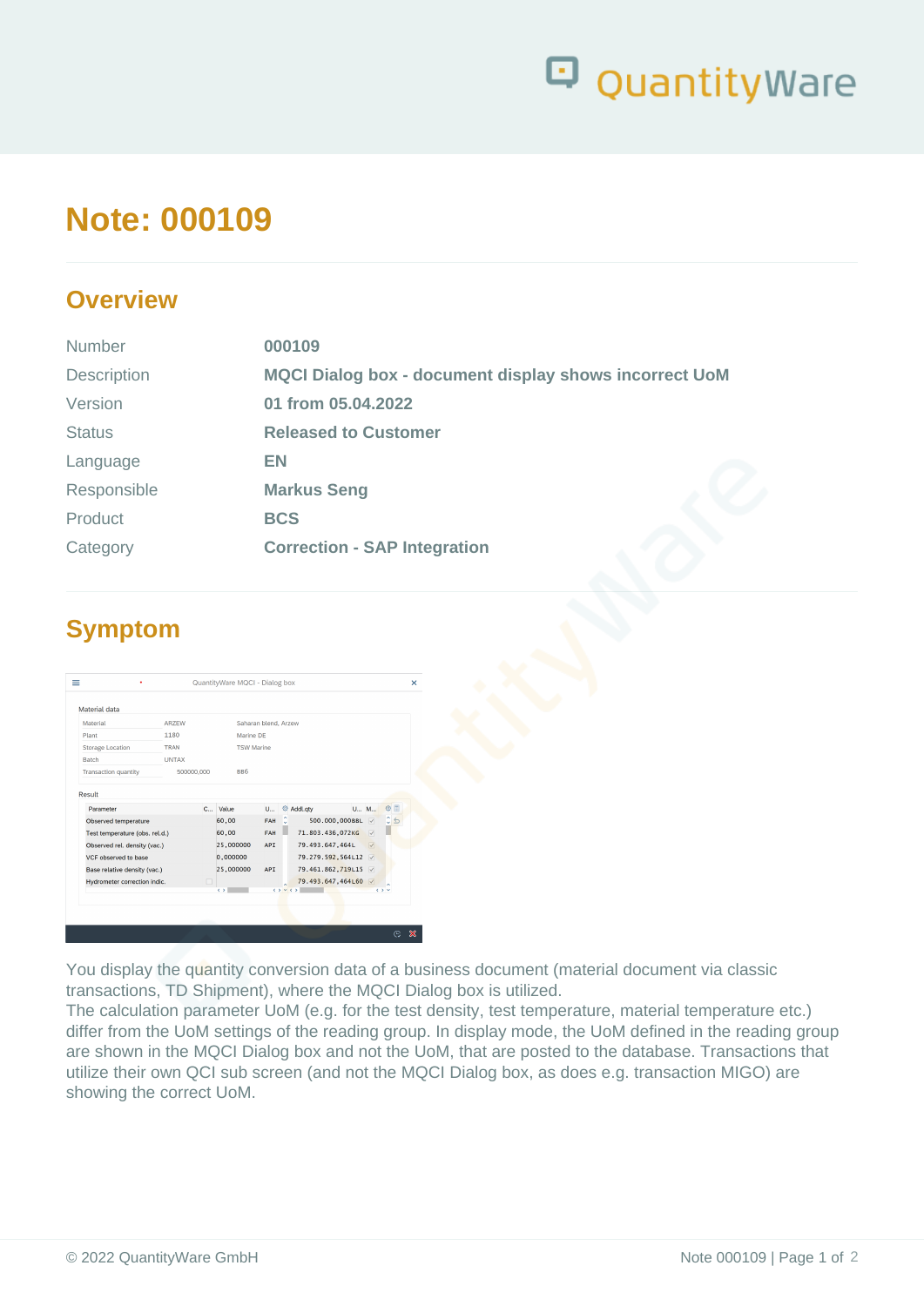

# **Note: 000109**

#### **Overview**

| <b>Number</b>      | 000109                                                        |
|--------------------|---------------------------------------------------------------|
| <b>Description</b> | <b>MQCI Dialog box - document display shows incorrect UoM</b> |
| Version            | 01 from 05.04.2022                                            |
| <b>Status</b>      | <b>Released to Customer</b>                                   |
| Language           | EN                                                            |
| Responsible        | <b>Markus Seng</b>                                            |
| Product            | <b>BCS</b>                                                    |
| Category           | <b>Correction - SAP Integration</b>                           |
|                    |                                                               |

# **Symptom**

| Material                                               | <b>AR7FW</b> |      |                   | Saharan blend, Arzew     |                              |                            |  |                 |           |              |
|--------------------------------------------------------|--------------|------|-------------------|--------------------------|------------------------------|----------------------------|--|-----------------|-----------|--------------|
| Plant                                                  | 1180         |      | Marine DE         |                          |                              |                            |  |                 |           |              |
| <b>Storage Location</b>                                | <b>TRAN</b>  |      | <b>TSW Marine</b> |                          |                              |                            |  |                 |           |              |
| <b>Batch</b>                                           | <b>UNTAX</b> |      |                   |                          |                              |                            |  |                 |           |              |
| <b>Transaction quantity</b>                            | 500000,000   |      | BB <sub>6</sub>   |                          |                              |                            |  |                 |           |              |
| Observed temperature<br>Test temperature (obs. rel.d.) |              |      | 60,00<br>60,00    | <b>FAH</b><br><b>FAH</b> |                              | 71.803.436,072KG           |  | $\triangledown$ |           | $\triangleq$ |
| Parameter                                              |              | C    | Value             | U                        | ⊚                            | Addl.atv<br>500.000,000BBL |  | U.,, M.,,       | ⊙ □<br>¢. |              |
| Observed rel. density (vac.)                           |              |      | 25,000000         | <b>APT</b>               |                              | 79.493.647,464L            |  | $\triangledown$ |           |              |
| VCF observed to base                                   |              |      | 0,000000          |                          |                              | 79.279.592,564L12          |  | $\triangledown$ |           |              |
| Base relative density (vac.)                           |              |      | 25,000000         | <b>API</b>               |                              | 79.461.862,719L15          |  |                 |           |              |
| Hydrometer correction indic.                           |              | п    |                   |                          |                              | 79.493.647.464L60 V        |  |                 |           |              |
|                                                        |              | C.S. |                   |                          | $\epsilon > \sqrt{\epsilon}$ |                            |  |                 | C S M     |              |

You display the quantity conversion data of a business document (material document via classic transactions, TD Shipment), where the MQCI Dialog box is utilized.

The calculation parameter UoM (e.g. for the test density, test temperature, material temperature etc.) differ from the UoM settings of the reading group. In display mode, the UoM defined in the reading group are shown in the MQCI Dialog box and not the UoM, that are posted to the database. Transactions that utilize their own QCI sub screen (and not the MQCI Dialog box, as does e.g. transaction MIGO) are showing the correct UoM.